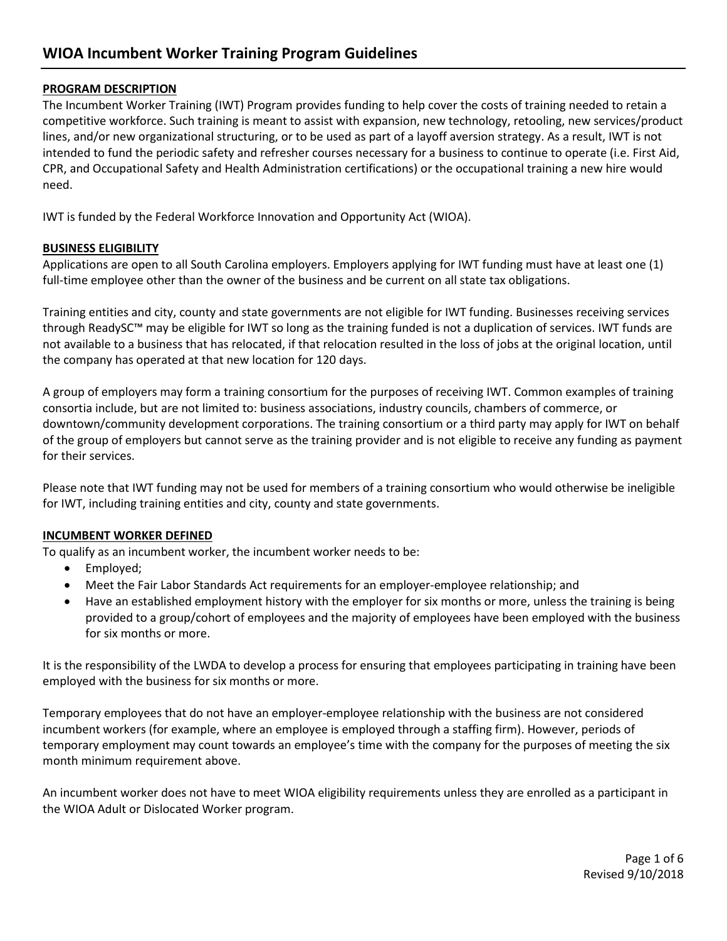#### **PROGRAM DESCRIPTION**

The Incumbent Worker Training (IWT) Program provides funding to help cover the costs of training needed to retain a competitive workforce. Such training is meant to assist with expansion, new technology, retooling, new services/product lines, and/or new organizational structuring, or to be used as part of a layoff aversion strategy. As a result, IWT is not intended to fund the periodic safety and refresher courses necessary for a business to continue to operate (i.e. First Aid, CPR, and Occupational Safety and Health Administration certifications) or the occupational training a new hire would need.

IWT is funded by the Federal Workforce Innovation and Opportunity Act (WIOA).

#### **BUSINESS ELIGIBILITY**

Applications are open to all South Carolina employers. Employers applying for IWT funding must have at least one (1) full-time employee other than the owner of the business and be current on all state tax obligations.

Training entities and city, county and state governments are not eligible for IWT funding. Businesses receiving services through ReadySC™ may be eligible for IWT so long as the training funded is not a duplication of services. IWT funds are not available to a business that has relocated, if that relocation resulted in the loss of jobs at the original location, until the company has operated at that new location for 120 days.

A group of employers may form a training consortium for the purposes of receiving IWT. Common examples of training consortia include, but are not limited to: business associations, industry councils, chambers of commerce, or downtown/community development corporations. The training consortium or a third party may apply for IWT on behalf of the group of employers but cannot serve as the training provider and is not eligible to receive any funding as payment for their services.

Please note that IWT funding may not be used for members of a training consortium who would otherwise be ineligible for IWT, including training entities and city, county and state governments.

#### **INCUMBENT WORKER DEFINED**

To qualify as an incumbent worker, the incumbent worker needs to be:

- Employed;
- Meet the Fair Labor Standards Act requirements for an employer-employee relationship; and
- Have an established employment history with the employer for six months or more, unless the training is being provided to a group/cohort of employees and the majority of employees have been employed with the business for six months or more.

It is the responsibility of the LWDA to develop a process for ensuring that employees participating in training have been employed with the business for six months or more.

Temporary employees that do not have an employer-employee relationship with the business are not considered incumbent workers (for example, where an employee is employed through a staffing firm). However, periods of temporary employment may count towards an employee's time with the company for the purposes of meeting the six month minimum requirement above.

An incumbent worker does not have to meet WIOA eligibility requirements unless they are enrolled as a participant in the WIOA Adult or Dislocated Worker program.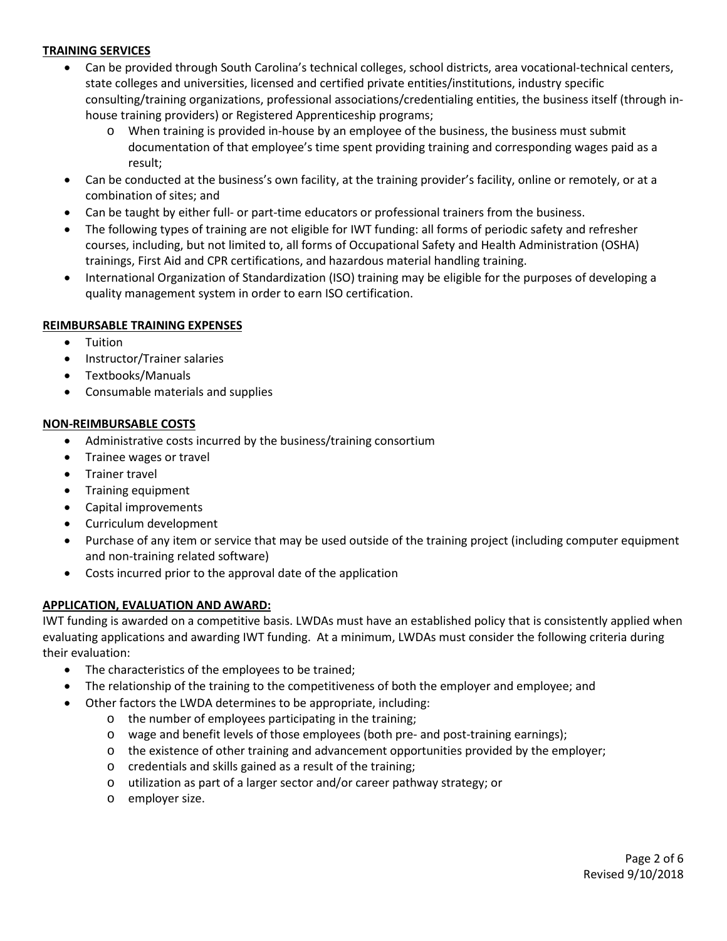## **TRAINING SERVICES**

- Can be provided through South Carolina's technical colleges, school districts, area vocational-technical centers, state colleges and universities, licensed and certified private entities/institutions, industry specific consulting/training organizations, professional associations/credentialing entities, the business itself (through inhouse training providers) or Registered Apprenticeship programs;
	- o When training is provided in-house by an employee of the business, the business must submit documentation of that employee's time spent providing training and corresponding wages paid as a result;
- Can be conducted at the business's own facility, at the training provider's facility, online or remotely, or at a combination of sites; and
- Can be taught by either full- or part-time educators or professional trainers from the business.
- The following types of training are not eligible for IWT funding: all forms of periodic safety and refresher courses, including, but not limited to, all forms of Occupational Safety and Health Administration (OSHA) trainings, First Aid and CPR certifications, and hazardous material handling training.
- International Organization of Standardization (ISO) training may be eligible for the purposes of developing a quality management system in order to earn ISO certification.

#### **REIMBURSABLE TRAINING EXPENSES**

- Tuition
- Instructor/Trainer salaries
- Textbooks/Manuals
- Consumable materials and supplies

#### **NON-REIMBURSABLE COSTS**

- Administrative costs incurred by the business/training consortium
- Trainee wages or travel
- Trainer travel
- Training equipment
- Capital improvements
- Curriculum development
- Purchase of any item or service that may be used outside of the training project (including computer equipment and non-training related software)
- Costs incurred prior to the approval date of the application

#### **APPLICATION, EVALUATION AND AWARD:**

IWT funding is awarded on a competitive basis. LWDAs must have an established policy that is consistently applied when evaluating applications and awarding IWT funding. At a minimum, LWDAs must consider the following criteria during their evaluation:

- The characteristics of the employees to be trained;
- The relationship of the training to the competitiveness of both the employer and employee; and
	- Other factors the LWDA determines to be appropriate, including:
		- o the number of employees participating in the training;
		- o wage and benefit levels of those employees (both pre- and post-training earnings);
		- o the existence of other training and advancement opportunities provided by the employer;
		- o credentials and skills gained as a result of the training;
		- o utilization as part of a larger sector and/or career pathway strategy; or
		- o employer size.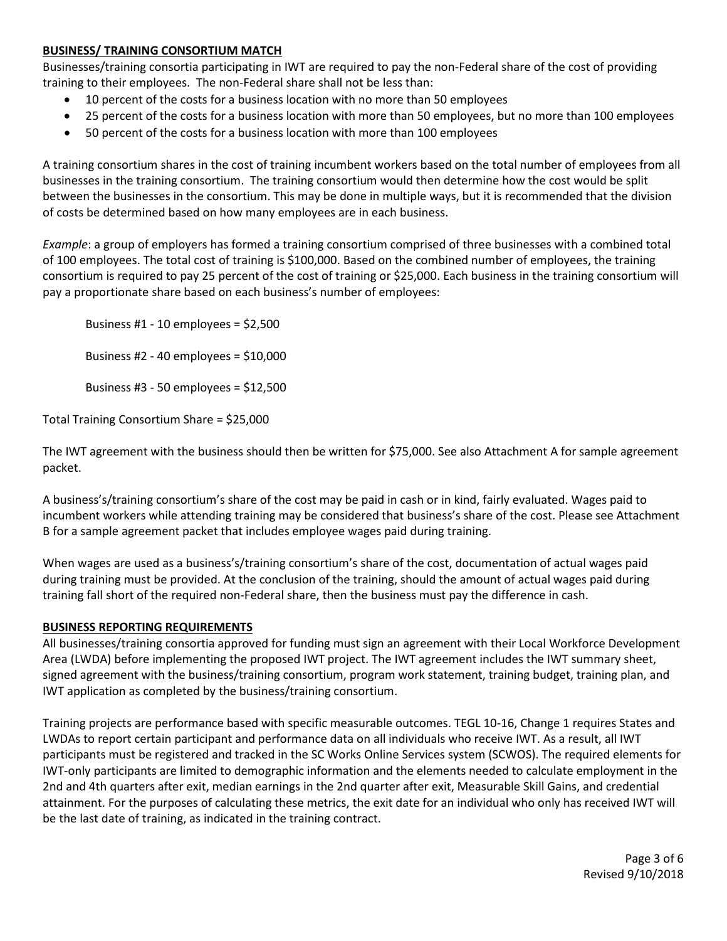#### **BUSINESS/ TRAINING CONSORTIUM MATCH**

Businesses/training consortia participating in IWT are required to pay the non-Federal share of the cost of providing training to their employees. The non-Federal share shall not be less than:

- 10 percent of the costs for a business location with no more than 50 employees
- 25 percent of the costs for a business location with more than 50 employees, but no more than 100 employees
- 50 percent of the costs for a business location with more than 100 employees

A training consortium shares in the cost of training incumbent workers based on the total number of employees from all businesses in the training consortium. The training consortium would then determine how the cost would be split between the businesses in the consortium. This may be done in multiple ways, but it is recommended that the division of costs be determined based on how many employees are in each business.

*Example*: a group of employers has formed a training consortium comprised of three businesses with a combined total of 100 employees. The total cost of training is \$100,000. Based on the combined number of employees, the training consortium is required to pay 25 percent of the cost of training or \$25,000. Each business in the training consortium will pay a proportionate share based on each business's number of employees:

Business #1 - 10 employees = \$2,500 Business #2 - 40 employees = \$10,000 Business #3 - 50 employees = \$12,500

Total Training Consortium Share = \$25,000

The IWT agreement with the business should then be written for \$75,000. See also Attachment A for sample agreement packet.

A business's/training consortium's share of the cost may be paid in cash or in kind, fairly evaluated. Wages paid to incumbent workers while attending training may be considered that business's share of the cost. Please see Attachment B for a sample agreement packet that includes employee wages paid during training.

When wages are used as a business's/training consortium's share of the cost, documentation of actual wages paid during training must be provided. At the conclusion of the training, should the amount of actual wages paid during training fall short of the required non-Federal share, then the business must pay the difference in cash.

#### **BUSINESS REPORTING REQUIREMENTS**

All businesses/training consortia approved for funding must sign an agreement with their Local Workforce Development Area (LWDA) before implementing the proposed IWT project. The IWT agreement includes the IWT summary sheet, signed agreement with the business/training consortium, program work statement, training budget, training plan, and IWT application as completed by the business/training consortium.

Training projects are performance based with specific measurable outcomes. TEGL 10-16, Change 1 requires States and LWDAs to report certain participant and performance data on all individuals who receive IWT. As a result, all IWT participants must be registered and tracked in the SC Works Online Services system (SCWOS). The required elements for IWT-only participants are limited to demographic information and the elements needed to calculate employment in the 2nd and 4th quarters after exit, median earnings in the 2nd quarter after exit, Measurable Skill Gains, and credential attainment. For the purposes of calculating these metrics, the exit date for an individual who only has received IWT will be the last date of training, as indicated in the training contract.

> Page 3 of 6 Revised 9/10/2018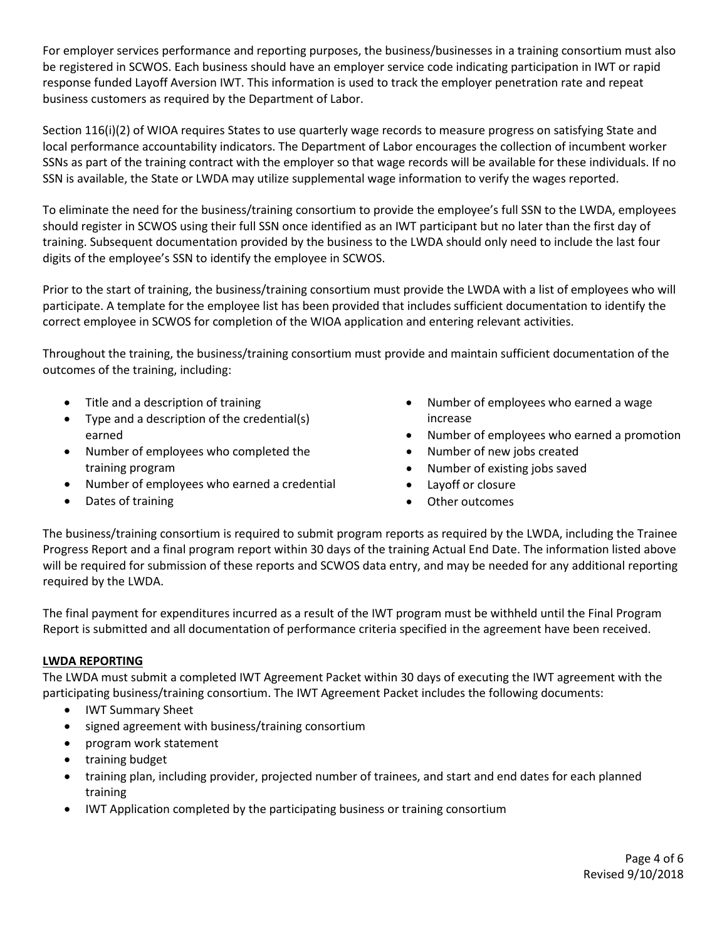For employer services performance and reporting purposes, the business/businesses in a training consortium must also be registered in SCWOS. Each business should have an employer service code indicating participation in IWT or rapid response funded Layoff Aversion IWT. This information is used to track the employer penetration rate and repeat business customers as required by the Department of Labor.

Section 116(i)(2) of WIOA requires States to use quarterly wage records to measure progress on satisfying State and local performance accountability indicators. The Department of Labor encourages the collection of incumbent worker SSNs as part of the training contract with the employer so that wage records will be available for these individuals. If no SSN is available, the State or LWDA may utilize supplemental wage information to verify the wages reported.

To eliminate the need for the business/training consortium to provide the employee's full SSN to the LWDA, employees should register in SCWOS using their full SSN once identified as an IWT participant but no later than the first day of training. Subsequent documentation provided by the business to the LWDA should only need to include the last four digits of the employee's SSN to identify the employee in SCWOS.

Prior to the start of training, the business/training consortium must provide the LWDA with a list of employees who will participate. A template for the employee list has been provided that includes sufficient documentation to identify the correct employee in SCWOS for completion of the WIOA application and entering relevant activities.

Throughout the training, the business/training consortium must provide and maintain sufficient documentation of the outcomes of the training, including:

- Title and a description of training
- Type and a description of the credential(s) earned
- Number of employees who completed the training program
- Number of employees who earned a credential
- Dates of training
- Number of employees who earned a wage increase
- Number of employees who earned a promotion
- Number of new jobs created
- Number of existing jobs saved
- Layoff or closure
- Other outcomes

The business/training consortium is required to submit program reports as required by the LWDA, including the Trainee Progress Report and a final program report within 30 days of the training Actual End Date. The information listed above will be required for submission of these reports and SCWOS data entry, and may be needed for any additional reporting required by the LWDA.

The final payment for expenditures incurred as a result of the IWT program must be withheld until the Final Program Report is submitted and all documentation of performance criteria specified in the agreement have been received.

#### **LWDA REPORTING**

The LWDA must submit a completed IWT Agreement Packet within 30 days of executing the IWT agreement with the participating business/training consortium. The IWT Agreement Packet includes the following documents:

- IWT Summary Sheet
- signed agreement with business/training consortium
- program work statement
- training budget
- training plan, including provider, projected number of trainees, and start and end dates for each planned training
- IWT Application completed by the participating business or training consortium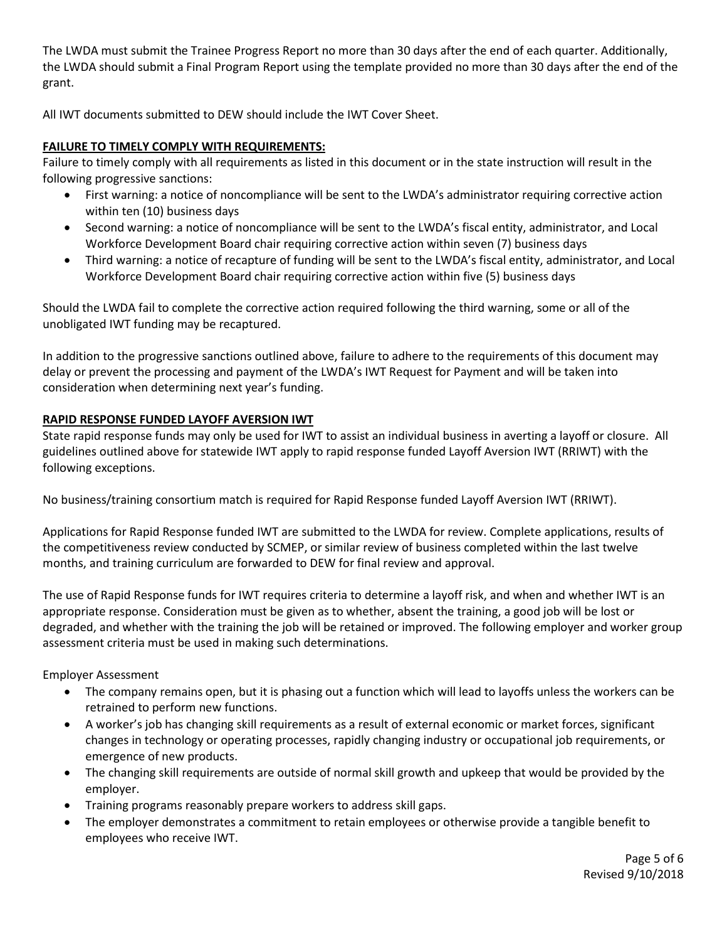The LWDA must submit the Trainee Progress Report no more than 30 days after the end of each quarter. Additionally, the LWDA should submit a Final Program Report using the template provided no more than 30 days after the end of the grant.

All IWT documents submitted to DEW should include the IWT Cover Sheet.

# **FAILURE TO TIMELY COMPLY WITH REQUIREMENTS:**

Failure to timely comply with all requirements as listed in this document or in the state instruction will result in the following progressive sanctions:

- First warning: a notice of noncompliance will be sent to the LWDA's administrator requiring corrective action within ten (10) business days
- Second warning: a notice of noncompliance will be sent to the LWDA's fiscal entity, administrator, and Local Workforce Development Board chair requiring corrective action within seven (7) business days
- Third warning: a notice of recapture of funding will be sent to the LWDA's fiscal entity, administrator, and Local Workforce Development Board chair requiring corrective action within five (5) business days

Should the LWDA fail to complete the corrective action required following the third warning, some or all of the unobligated IWT funding may be recaptured.

In addition to the progressive sanctions outlined above, failure to adhere to the requirements of this document may delay or prevent the processing and payment of the LWDA's IWT Request for Payment and will be taken into consideration when determining next year's funding.

#### **RAPID RESPONSE FUNDED LAYOFF AVERSION IWT**

State rapid response funds may only be used for IWT to assist an individual business in averting a layoff or closure. All guidelines outlined above for statewide IWT apply to rapid response funded Layoff Aversion IWT (RRIWT) with the following exceptions.

No business/training consortium match is required for Rapid Response funded Layoff Aversion IWT (RRIWT).

Applications for Rapid Response funded IWT are submitted to the LWDA for review. Complete applications, results of the competitiveness review conducted by SCMEP, or similar review of business completed within the last twelve months, and training curriculum are forwarded to DEW for final review and approval.

The use of Rapid Response funds for IWT requires criteria to determine a layoff risk, and when and whether IWT is an appropriate response. Consideration must be given as to whether, absent the training, a good job will be lost or degraded, and whether with the training the job will be retained or improved. The following employer and worker group assessment criteria must be used in making such determinations.

Employer Assessment

- The company remains open, but it is phasing out a function which will lead to layoffs unless the workers can be retrained to perform new functions.
- A worker's job has changing skill requirements as a result of external economic or market forces, significant changes in technology or operating processes, rapidly changing industry or occupational job requirements, or emergence of new products.
- The changing skill requirements are outside of normal skill growth and upkeep that would be provided by the employer.
- Training programs reasonably prepare workers to address skill gaps.
- The employer demonstrates a commitment to retain employees or otherwise provide a tangible benefit to employees who receive IWT.